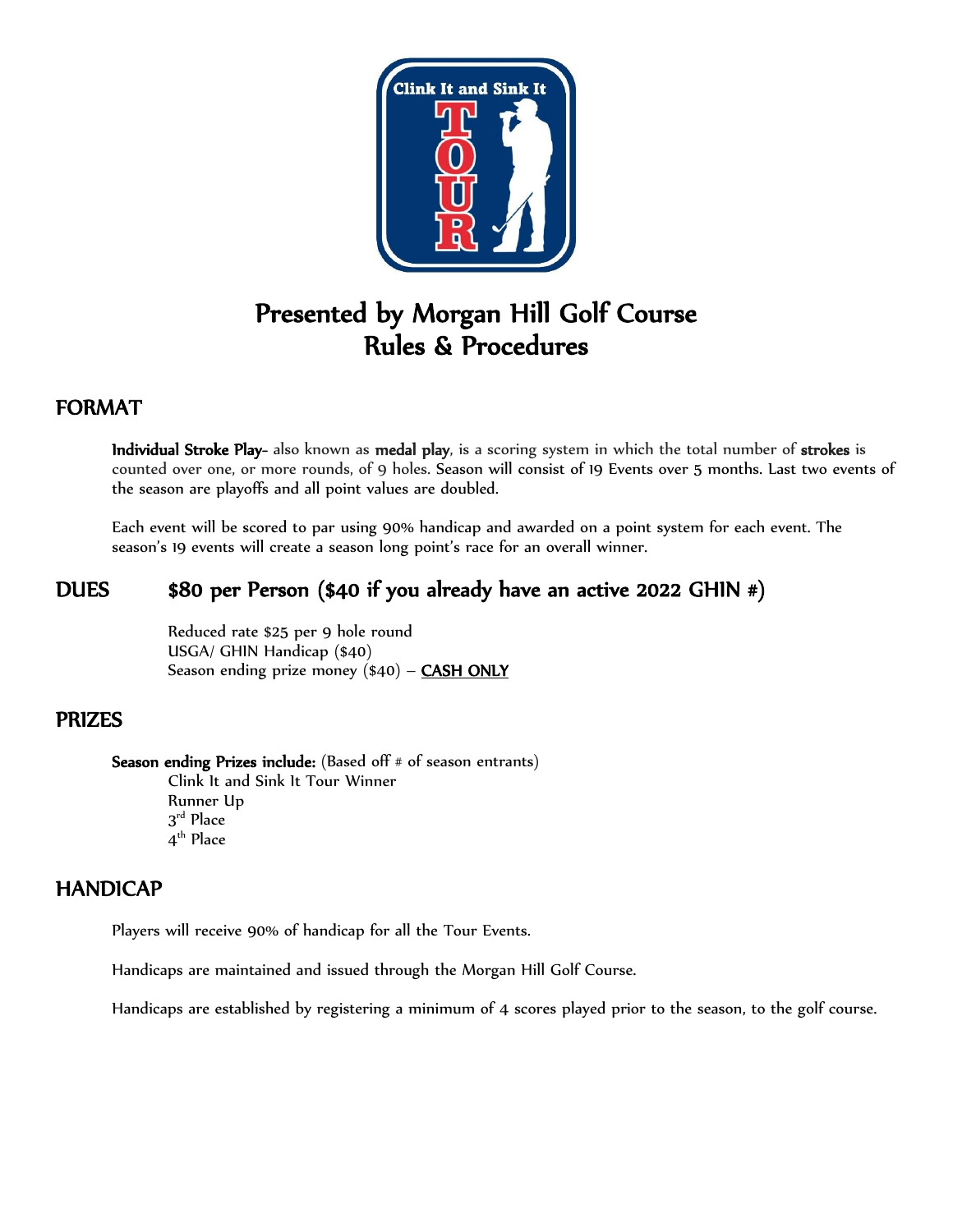

# Presented by Morgan Hill Golf Course Rules & Procedures

## FORMAT

Individual Stroke Play- also known as medal play, is a scoring system in which the total number of strokes is counted over one, or more rounds, of 9 holes. Season will consist of 19 Events over 5 months. Last two events of the season are playoffs and all point values are doubled.

Each event will be scored to par using 90% handicap and awarded on a point system for each event. The season's 19 events will create a season long point's race for an overall winner.

# DUES \$80 per Person (\$40 if you already have an active 2022 GHIN #)

Reduced rate \$25 per 9 hole round USGA/ GHIN Handicap (\$40) Season ending prize money  $(\$40) -$  CASH ONLY

## PRIZES

Season ending Prizes include: (Based off # of season entrants) Clink It and Sink It Tour Winner Runner Up  $3^{\rm rd}$  Place  $4^{\rm th}$  Place

#### HANDICAP Ī

Players will receive 90% of handicap for all the Tour Events.

Handicaps are maintained and issued through the Morgan Hill Golf Course.

Handicaps are established by registering a minimum of 4 scores played prior to the season, to the golf course.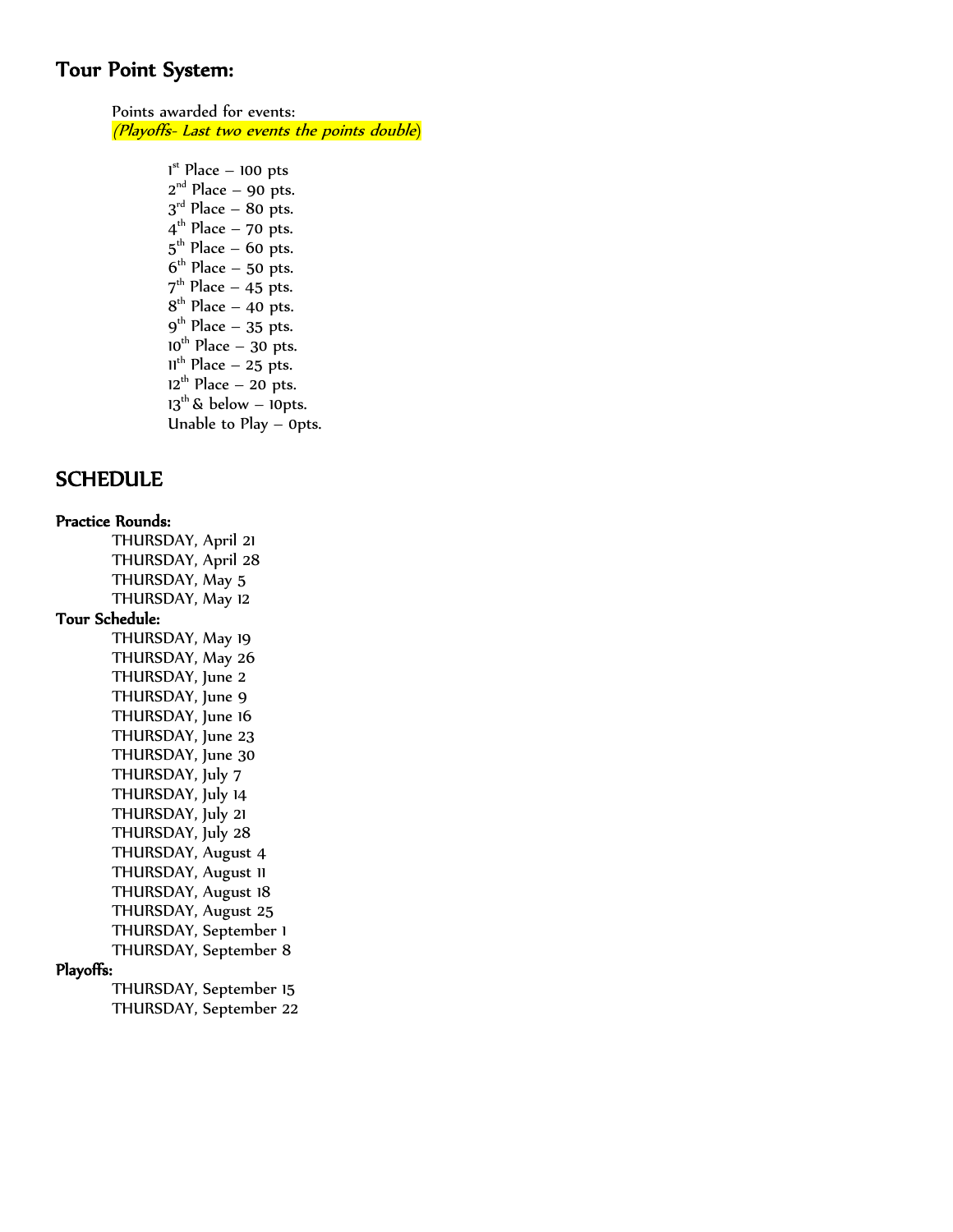## Tour Point System: ľ

 Points awarded for events: (Playoffs- Last two events the points double)

> $1<sup>st</sup>$  Place – 100 pts  $2<sup>nd</sup>$  Place – 90 pts.  $3<sup>rd</sup>$  Place – 80 pts.  $4^{\text{th}}$  Place – 70 pts.  $5^{\text{th}}$  Place – 60 pts.  $6^{\text{th}}$  Place – 50 pts.  $7<sup>th</sup>$  Place – 45 pts.  $8<sup>th</sup>$  Place – 40 pts.  $9<sup>th</sup>$  Place – 35 pts.  $10^{th}$  Place – 30 pts.  $11^{th}$  Place – 25 pts.  $12<sup>th</sup>$  Place – 20 pts.  $13^{th}$  & below – 10pts. Unable to Play – 0pts.

#### **SCHEDULE**

#### Practice Rounds:

THURSDAY, April 21 THURSDAY, April 28 THURSDAY, May 5 THURSDAY, May 12 Tour Schedule: THURSDAY, May 19 THURSDAY, May 26 THURSDAY, June 2 THURSDAY, June 9 THURSDAY, June 16 THURSDAY, June 23 THURSDAY, June 30 THURSDAY, July 7 THURSDAY, July 14 THURSDAY, July 21 THURSDAY, July 28 THURSDAY, August 4 THURSDAY, August 11 THURSDAY, August 18 THURSDAY, August 25 THURSDAY, September 1 THURSDAY, September 8

#### Playoffs:

THURSDAY, September 15 THURSDAY, September 22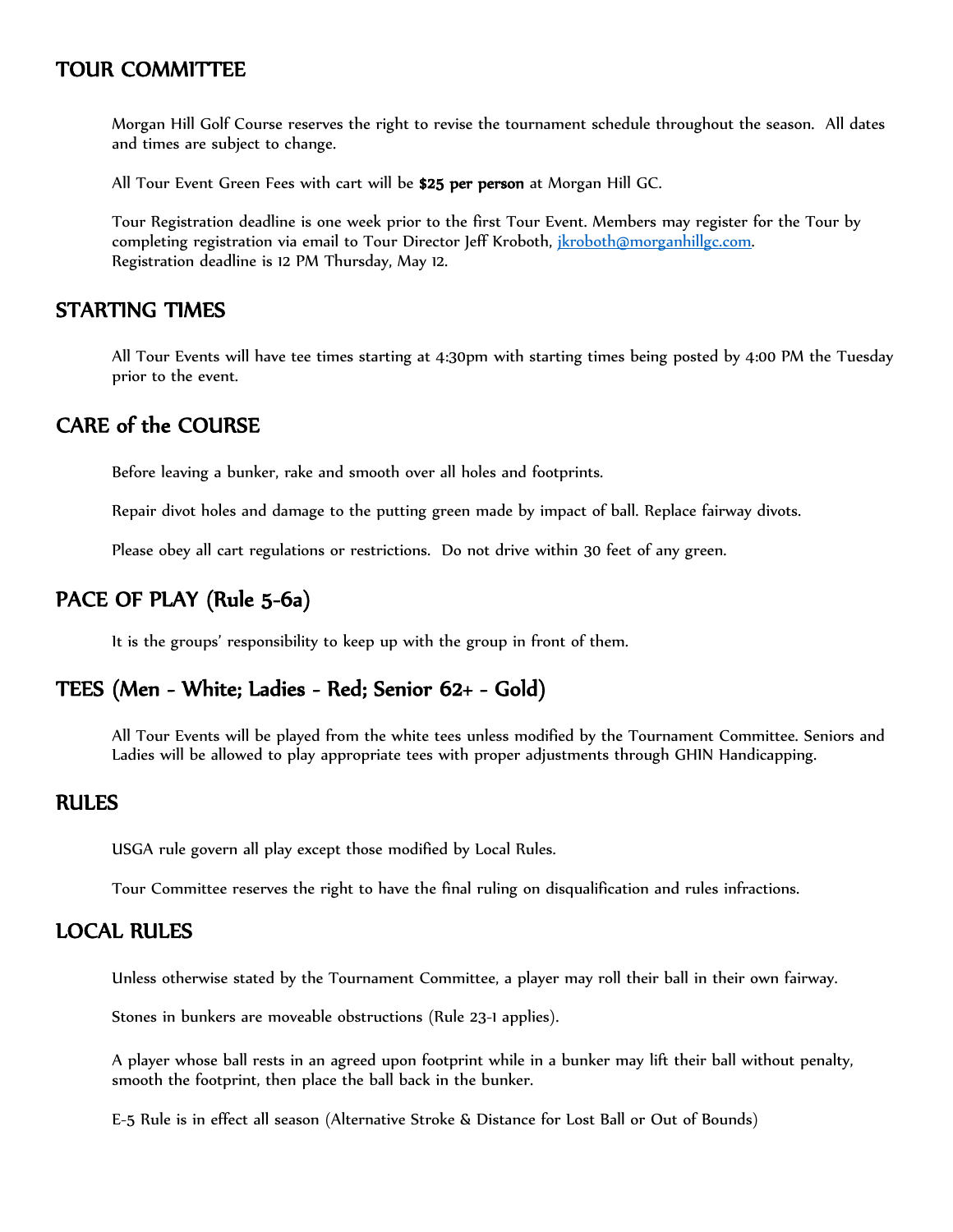## TOUR COMMITTEE

Morgan Hill Golf Course reserves the right to revise the tournament schedule throughout the season. All dates and times are subject to change.

All Tour Event Green Fees with cart will be \$25 per person at Morgan Hill GC.

Tour Registration deadline is one week prior to the first Tour Event. Members may register for the Tour by completing registration via email to Tour Director Jeff Kroboth, ikroboth@morganhillgc.com. Registration deadline is 12 PM Thursday, May 12.

#### STARTING TIMES

All Tour Events will have tee times starting at 4:30pm with starting times being posted by 4:00 PM the Tuesday prior to the event.

## CARE of the COURSE

Before leaving a bunker, rake and smooth over all holes and footprints.

Repair divot holes and damage to the putting green made by impact of ball. Replace fairway divots.

Please obey all cart regulations or restrictions. Do not drive within 30 feet of any green.

# PACE OF PLAY (Rule 5-6a)

It is the groups' responsibility to keep up with the group in front of them.

## TEES (Men - White; Ladies - Red; Senior 62+ - Gold)

All Tour Events will be played from the white tees unless modified by the Tournament Committee. Seniors and Ladies will be allowed to play appropriate tees with proper adjustments through GHIN Handicapping.

#### RULES

USGA rule govern all play except those modified by Local Rules.

Tour Committee reserves the right to have the final ruling on disqualification and rules infractions.

#### LOCAL RULES

Unless otherwise stated by the Tournament Committee, a player may roll their ball in their own fairway.

Stones in bunkers are moveable obstructions (Rule 23-1 applies).

A player whose ball rests in an agreed upon footprint while in a bunker may lift their ball without penalty, smooth the footprint, then place the ball back in the bunker.

E-5 Rule is in effect all season (Alternative Stroke & Distance for Lost Ball or Out of Bounds)